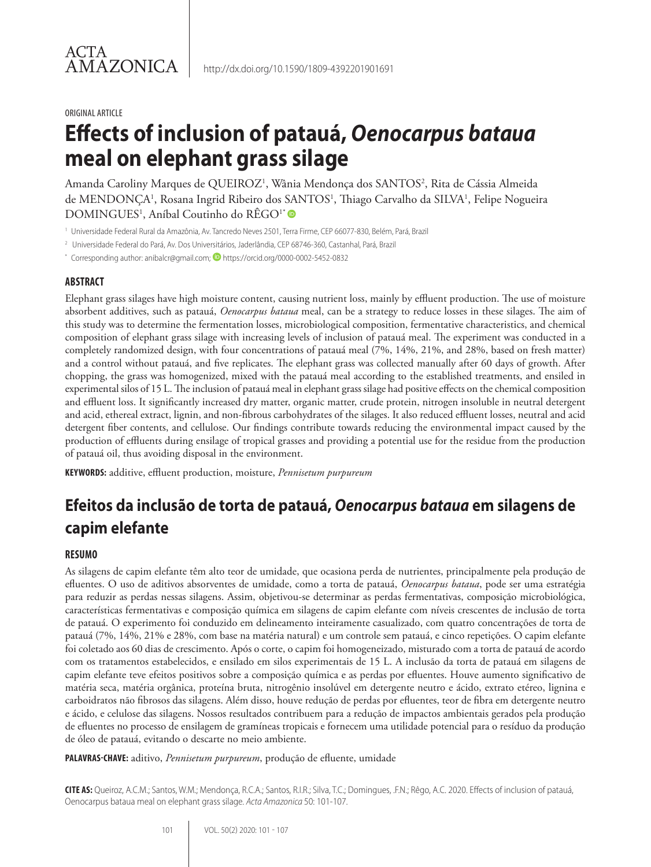#### ORIGINAL ARTICLE

# **Effects of inclusion of patauá,** *Oenocarpus bataua* **meal on elephant grass silage**

Amanda Caroliny Marques de QUEIROZ<sup>1</sup>, Wânia Mendonça dos SANTOS<sup>2</sup>, Rita de Cássia Almeida de MENDONÇA<sup>1</sup>, Rosana Ingrid Ribeiro dos SANTOS<sup>1</sup>, Thiago Carvalho da SILVA<sup>1</sup>, Felipe Nogueira DOMINGUES<sup>1</sup>, Aníbal Coutinho do RÊGO<sup>1\*</sup>

- <sup>1</sup> Universidade Federal Rural da Amazônia, Av. Tancredo Neves 2501, Terra Firme, CEP 66077-830, Belém, Pará, Brazil
- <sup>2</sup> Universidade Federal do Pará, Av. Dos Universitários, Jaderlândia, CEP 68746-360, Castanhal, Pará, Brazil
- \* Corresponding author: anibalcr@gmail.com; **D** https://orcid.org/0000-0002-5452-0832

#### **ABSTRACT**

Elephant grass silages have high moisture content, causing nutrient loss, mainly by effluent production. The use of moisture absorbent additives, such as patauá, *Oenocarpus bataua* meal, can be a strategy to reduce losses in these silages. The aim of this study was to determine the fermentation losses, microbiological composition, fermentative characteristics, and chemical composition of elephant grass silage with increasing levels of inclusion of patauá meal. The experiment was conducted in a completely randomized design, with four concentrations of patauá meal (7%, 14%, 21%, and 28%, based on fresh matter) and a control without patauá, and five replicates. The elephant grass was collected manually after 60 days of growth. After chopping, the grass was homogenized, mixed with the patauá meal according to the established treatments, and ensiled in experimental silos of 15 L. The inclusion of patauá meal in elephant grass silage had positive effects on the chemical composition and effluent loss. It significantly increased dry matter, organic matter, crude protein, nitrogen insoluble in neutral detergent and acid, ethereal extract, lignin, and non-fibrous carbohydrates of the silages. It also reduced effluent losses, neutral and acid detergent fiber contents, and cellulose. Our findings contribute towards reducing the environmental impact caused by the production of effluents during ensilage of tropical grasses and providing a potential use for the residue from the production of patauá oil, thus avoiding disposal in the environment.

**KEYWORDS:** additive, effluent production, moisture, *Pennisetum purpureum*

## **Efeitos da inclusão de torta de patauá,** *Oenocarpus bataua* **em silagens de capim elefante**

#### **RESUMO**

As silagens de capim elefante têm alto teor de umidade, que ocasiona perda de nutrientes, principalmente pela produção de efluentes. O uso de aditivos absorventes de umidade, como a torta de patauá, *Oenocarpus bataua*, pode ser uma estratégia para reduzir as perdas nessas silagens. Assim, objetivou-se determinar as perdas fermentativas, composição microbiológica, características fermentativas e composição química em silagens de capim elefante com níveis crescentes de inclusão de torta de patauá. O experimento foi conduzido em delineamento inteiramente casualizado, com quatro concentrações de torta de patauá (7%, 14%, 21% e 28%, com base na matéria natural) e um controle sem patauá, e cinco repetições. O capim elefante foi coletado aos 60 dias de crescimento. Após o corte, o capim foi homogeneizado, misturado com a torta de patauá de acordo com os tratamentos estabelecidos, e ensilado em silos experimentais de 15 L. A inclusão da torta de patauá em silagens de capim elefante teve efeitos positivos sobre a composição química e as perdas por efluentes. Houve aumento significativo de matéria seca, matéria orgânica, proteína bruta, nitrogênio insolúvel em detergente neutro e ácido, extrato etéreo, lignina e carboidratos não fibrosos das silagens. Além disso, houve redução de perdas por efluentes, teor de fibra em detergente neutro e ácido, e celulose das silagens. Nossos resultados contribuem para a redução de impactos ambientais gerados pela produção de efluentes no processo de ensilagem de gramíneas tropicais e fornecem uma utilidade potencial para o resíduo da produção de óleo de patauá, evitando o descarte no meio ambiente.

**PALAVRAS-CHAVE:** aditivo, *Pennisetum purpureum*, produção de efluente, umidade

**CITE AS:** Queiroz, A.C.M.; Santos, W.M.; Mendonça, R.C.A.; Santos, R.I.R.; Silva, T.C.; Domingues, .F.N.; Rêgo, A.C. 2020. Effects of inclusion of patauá, Oenocarpus bataua meal on elephant grass silage. *Acta Amazonica* 50: 101-107.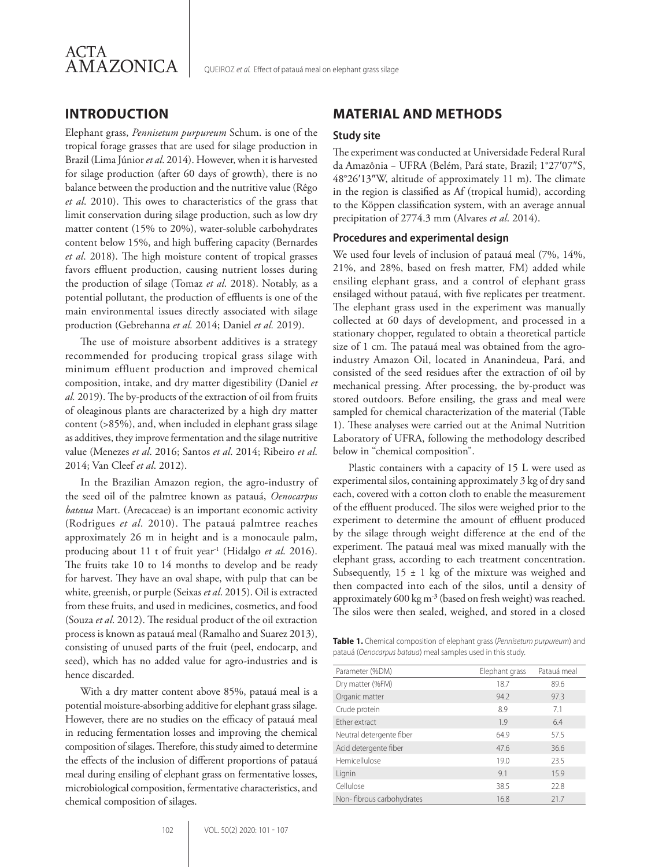

## **INTRODUCTION**

Elephant grass, *Pennisetum purpureum* Schum. is one of the tropical forage grasses that are used for silage production in Brazil (Lima Júnior *et al*. 2014). However, when it is harvested for silage production (after 60 days of growth), there is no balance between the production and the nutritive value (Rêgo *et al*. 2010). This owes to characteristics of the grass that limit conservation during silage production, such as low dry matter content (15% to 20%), water-soluble carbohydrates content below 15%, and high buffering capacity (Bernardes *et al*. 2018). The high moisture content of tropical grasses favors effluent production, causing nutrient losses during the production of silage (Tomaz *et al*. 2018). Notably, as a potential pollutant, the production of effluents is one of the main environmental issues directly associated with silage production (Gebrehanna *et al.* 2014; Daniel *et al.* 2019).

The use of moisture absorbent additives is a strategy recommended for producing tropical grass silage with minimum effluent production and improved chemical composition, intake, and dry matter digestibility (Daniel *et al.* 2019). The by-products of the extraction of oil from fruits of oleaginous plants are characterized by a high dry matter content (>85%), and, when included in elephant grass silage as additives, they improve fermentation and the silage nutritive value (Menezes *et al*. 2016; Santos *et al*. 2014; Ribeiro *et al*. 2014; Van Cleef *et al*. 2012).

In the Brazilian Amazon region, the agro-industry of the seed oil of the palmtree known as patauá, *Oenocarpus bataua* Mart. (Arecaceae) is an important economic activity (Rodrigues *et al*. 2010). The patauá palmtree reaches approximately 26 m in height and is a monocaule palm, producing about 11 t of fruit year-1 (Hidalgo *et al*. 2016). The fruits take 10 to 14 months to develop and be ready for harvest. They have an oval shape, with pulp that can be white, greenish, or purple (Seixas *et al*. 2015). Oil is extracted from these fruits, and used in medicines, cosmetics, and food (Souza *et al*. 2012). The residual product of the oil extraction process is known as patauá meal (Ramalho and Suarez 2013), consisting of unused parts of the fruit (peel, endocarp, and seed), which has no added value for agro-industries and is hence discarded.

With a dry matter content above 85%, patauá meal is a potential moisture-absorbing additive for elephant grass silage. However, there are no studies on the efficacy of patauá meal in reducing fermentation losses and improving the chemical composition of silages. Therefore, this study aimed to determine the effects of the inclusion of different proportions of patauá meal during ensiling of elephant grass on fermentative losses, microbiological composition, fermentative characteristics, and chemical composition of silages.

102 VOL. 50(2) 2020: 101 - 107

## **MATERIAL AND METHODS**

#### **Study site**

The experiment was conducted at Universidade Federal Rural da Amazônia − UFRA (Belém, Pará state, Brazil; 1°27ʹ07″S, 48°26ʹ13″W, altitude of approximately 11 m). The climate in the region is classified as Af (tropical humid), according to the Köppen classification system, with an average annual precipitation of 2774.3 mm (Alvares *et al*. 2014).

#### **Procedures and experimental design**

We used four levels of inclusion of patauá meal (7%, 14%, 21%, and 28%, based on fresh matter, FM) added while ensiling elephant grass, and a control of elephant grass ensilaged without patauá, with five replicates per treatment. The elephant grass used in the experiment was manually collected at 60 days of development, and processed in a stationary chopper, regulated to obtain a theoretical particle size of 1 cm. The patauá meal was obtained from the agroindustry Amazon Oil, located in Ananindeua, Pará, and consisted of the seed residues after the extraction of oil by mechanical pressing. After processing, the by-product was stored outdoors. Before ensiling, the grass and meal were sampled for chemical characterization of the material (Table 1). These analyses were carried out at the Animal Nutrition Laboratory of UFRA, following the methodology described below in "chemical composition".

Plastic containers with a capacity of 15 L were used as experimental silos, containing approximately 3 kg of dry sand each, covered with a cotton cloth to enable the measurement of the effluent produced. The silos were weighed prior to the experiment to determine the amount of effluent produced by the silage through weight difference at the end of the experiment. The patauá meal was mixed manually with the elephant grass, according to each treatment concentration. Subsequently,  $15 \pm 1$  kg of the mixture was weighed and then compacted into each of the silos, until a density of approximately 600 kg m- ³ (based on fresh weight) was reached. The silos were then sealed, weighed, and stored in a closed

**Table 1.** Chemical composition of elephant grass (*Pennisetum purpureum*) and patauá (*Oenocarpus bataua*) meal samples used in this study.

| Parameter (%DM)           | Elephant grass | Patauá meal |  |
|---------------------------|----------------|-------------|--|
| Dry matter (%FM)          | 18.7           | 89.6        |  |
| Organic matter            | 94.2           | 97.3        |  |
| Crude protein             | 8.9            | 7.1         |  |
| Ether extract             | 1.9            | 6.4         |  |
| Neutral detergente fiber  | 64.9           | 57.5        |  |
| Acid detergente fiber     | 47.6           | 36.6        |  |
| Hemicellulose             | 19.0           | 23.5        |  |
| Lignin                    | 9.1            | 15.9        |  |
| Cellulose                 | 38.5           | 22.8        |  |
| Non-fibrous carbohydrates | 16.8           | 21.7        |  |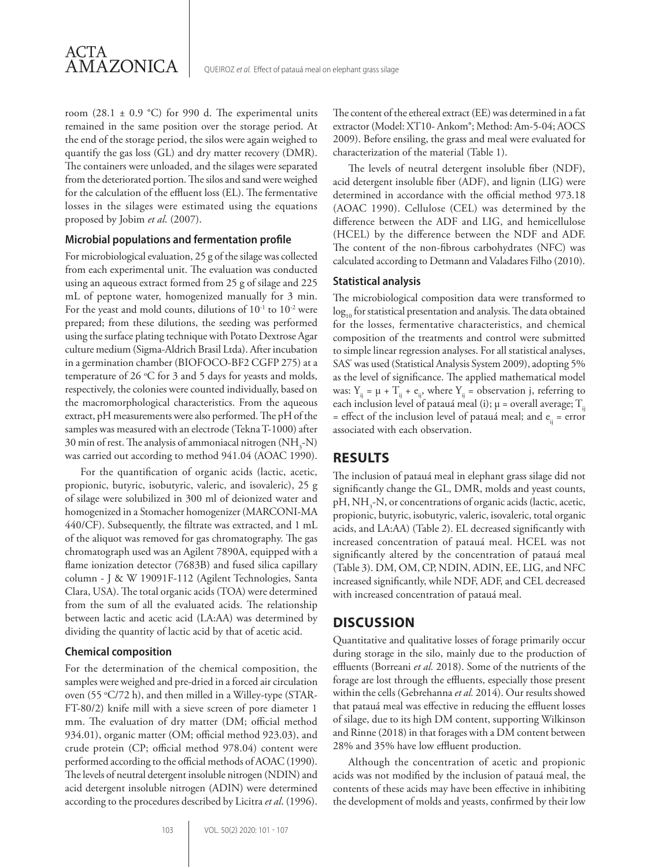

room  $(28.1 \pm 0.9 \degree C)$  for 990 d. The experimental units remained in the same position over the storage period. At the end of the storage period, the silos were again weighed to quantify the gas loss (GL) and dry matter recovery (DMR). The containers were unloaded, and the silages were separated from the deteriorated portion. The silos and sand were weighed for the calculation of the effluent loss (EL). The fermentative losses in the silages were estimated using the equations proposed by Jobim *et al*. (2007).

#### **Microbial populations and fermentation profile**

For microbiological evaluation, 25 g of the silage was collected from each experimental unit. The evaluation was conducted using an aqueous extract formed from 25 g of silage and 225 mL of peptone water, homogenized manually for 3 min. For the yeast and mold counts, dilutions of  $10^{-1}$  to  $10^{-2}$  were prepared; from these dilutions, the seeding was performed using the surface plating technique with Potato Dextrose Agar culture medium (Sigma-Aldrich Brasil Ltda). After incubation in a germination chamber (BIOFOCO-BF2 CGFP 275) at a temperature of 26  $\mathrm{^{\circ}C}$  for 3 and 5 days for yeasts and molds, respectively, the colonies were counted individually, based on the macromorphological characteristics. From the aqueous extract, pH measurements were also performed. The pH of the samples was measured with an electrode (Tekna T-1000) after 30 min of rest. The analysis of ammoniacal nitrogen  $(\mathrm{NH}_3\text{-}\mathrm{N})$ was carried out according to method 941.04 (AOAC 1990).

For the quantification of organic acids (lactic, acetic, propionic, butyric, isobutyric, valeric, and isovaleric), 25 g of silage were solubilized in 300 ml of deionized water and homogenized in a Stomacher homogenizer (MARCONI-MA 440/CF). Subsequently, the filtrate was extracted, and 1 mL of the aliquot was removed for gas chromatography. The gas chromatograph used was an Agilent 7890A, equipped with a flame ionization detector (7683B) and fused silica capillary column - J & W 19091F-112 (Agilent Technologies, Santa Clara, USA). The total organic acids (TOA) were determined from the sum of all the evaluated acids. The relationship between lactic and acetic acid (LA:AA) was determined by dividing the quantity of lactic acid by that of acetic acid.

#### **Chemical composition**

For the determination of the chemical composition, the samples were weighed and pre-dried in a forced air circulation oven (55 °C/72 h), and then milled in a Willey-type (STAR-FT-80/2) knife mill with a sieve screen of pore diameter 1 mm. The evaluation of dry matter (DM; official method 934.01), organic matter (OM; official method 923.03), and crude protein (CP; official method 978.04) content were performed according to the official methods of AOAC (1990). The levels of neutral detergent insoluble nitrogen (NDIN) and acid detergent insoluble nitrogen (ADIN) were determined according to the procedures described by Licitra *et al*. (1996). extractor (Model: XT10- Ankom®; Method: Am-5-04; AOCS 2009). Before ensiling, the grass and meal were evaluated for characterization of the material (Table 1).

The content of the ethereal extract (EE) was determined in a fat

The levels of neutral detergent insoluble fiber (NDF), acid detergent insoluble fiber (ADF), and lignin (LIG) were determined in accordance with the official method 973.18 (AOAC 1990). Cellulose (CEL) was determined by the difference between the ADF and LIG, and hemicellulose (HCEL) by the difference between the NDF and ADF. The content of the non-fibrous carbohydrates (NFC) was calculated according to Detmann and Valadares Filho (2010).

#### **Statistical analysis**

The microbiological composition data were transformed to  $log_{10}$  for statistical presentation and analysis. The data obtained for the losses, fermentative characteristics, and chemical composition of the treatments and control were submitted to simple linear regression analyses. For all statistical analyses, SAS<sup>®</sup> was used (Statistical Analysis System 2009), adopting 5% as the level of significance. The applied mathematical model was:  $Y_{ii} = \mu + T_{ii} + e_{ii}$ , where  $Y_{ii} =$  observation j, referring to each inclusion level of patauá meal (i);  $\mu$  = overall average;  $T_{ii}$ = effect of the inclusion level of patauá meal; and  $e_{ii}$  = error associated with each observation.

## **RESULTS**

The inclusion of patauá meal in elephant grass silage did not significantly change the GL, DMR, molds and yeast counts, pH, NH<sub>3</sub>-N, or concentrations of organic acids (lactic, acetic, propionic, butyric, isobutyric, valeric, isovaleric, total organic acids, and LA:AA) (Table 2). EL decreased significantly with increased concentration of patauá meal. HCEL was not significantly altered by the concentration of patauá meal (Table 3). DM, OM, CP, NDIN, ADIN, EE, LIG, and NFC increased significantly, while NDF, ADF, and CEL decreased with increased concentration of patauá meal.

#### **DISCUSSION**

Quantitative and qualitative losses of forage primarily occur during storage in the silo, mainly due to the production of effluents (Borreani *et al.* 2018). Some of the nutrients of the forage are lost through the effluents, especially those present within the cells (Gebrehanna *et al.* 2014). Our results showed that patauá meal was effective in reducing the effluent losses of silage, due to its high DM content, supporting Wilkinson and Rinne (2018) in that forages with a DM content between 28% and 35% have low effluent production.

Although the concentration of acetic and propionic acids was not modified by the inclusion of patauá meal, the contents of these acids may have been effective in inhibiting the development of molds and yeasts, confirmed by their low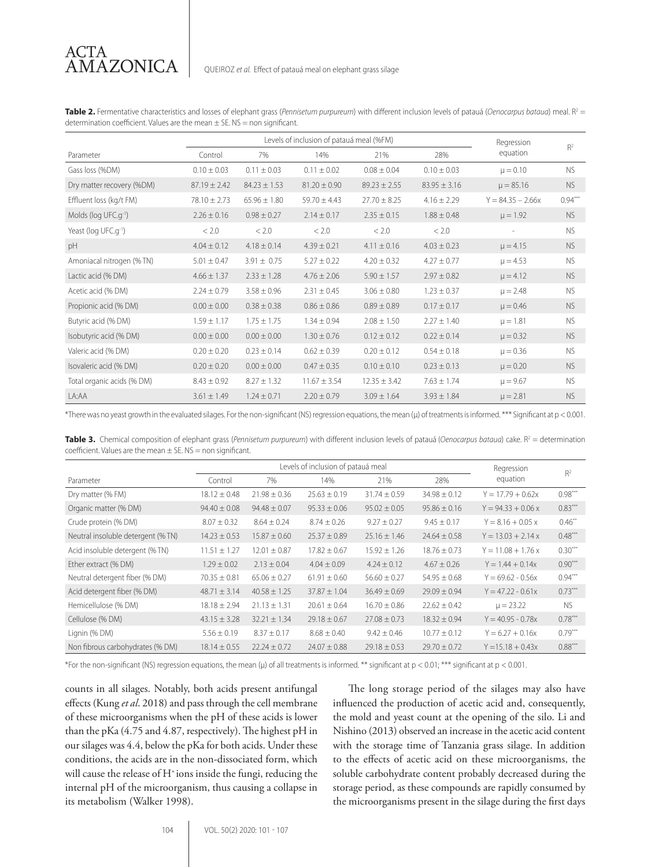Table 2. Fermentative characteristics and losses of elephant grass (Pennisetum purpureum) with different inclusion levels of patauá (Oenocarpus bataua) meal. R<sup>2</sup> = determination coefficient. Values are the mean  $\pm$  SE. NS = non significant.

|                                  | Levels of inclusion of patauá meal (%FM) |                  |                  |                  | Regression       | R <sup>2</sup>      |           |
|----------------------------------|------------------------------------------|------------------|------------------|------------------|------------------|---------------------|-----------|
| Parameter                        | Control                                  | 7%               | 14%              | 21%              | 28%              | equation            |           |
| Gass loss (%DM)                  | $0.10 \pm 0.03$                          | $0.11 \pm 0.03$  | $0.11 \pm 0.02$  | $0.08 \pm 0.04$  | $0.10 \pm 0.03$  | $\mu = 0.10$        | <b>NS</b> |
| Dry matter recovery (%DM)        | $87.19 \pm 2.42$                         | $84.23 \pm 1.53$ | $81.20 \pm 0.90$ | $89.23 \pm 2.55$ | $83.95 \pm 3.16$ | $\mu = 85.16$       | <b>NS</b> |
| Effluent loss (kg/t FM)          | $78.10 \pm 2.73$                         | $65.96 \pm 1.80$ | $59.70 \pm 4.43$ | $27.70 \pm 8.25$ | $4.16 \pm 2.29$  | $Y = 84.35 - 2.66x$ | $0.94***$ |
| Molds (log UFC.g-1)              | $2.26 \pm 0.16$                          | $0.98 \pm 0.27$  | $2.14 \pm 0.17$  | $2.35 \pm 0.15$  | $1.88 \pm 0.48$  | $\mu = 1.92$        | <b>NS</b> |
| Yeast (log UFC.g <sup>-1</sup> ) | < 2.0                                    | < 2.0            | < 2.0            | < 2.0            | < 2.0            |                     | <b>NS</b> |
| pH                               | $4.04 \pm 0.12$                          | $4.18 \pm 0.14$  | $4.39 \pm 0.21$  | $4.11 \pm 0.16$  | $4.03 \pm 0.23$  | $\mu = 4.15$        | <b>NS</b> |
| Amoniacal nitrogen (% TN)        | $5.01 \pm 0.47$                          | $3.91 \pm 0.75$  | $5.27 \pm 0.22$  | $4.20 \pm 0.32$  | $4.27 \pm 0.77$  | $\mu = 4.53$        | <b>NS</b> |
| Lactic acid (% DM)               | $4.66 \pm 1.37$                          | $2.33 \pm 1.28$  | $4.76 \pm 2.06$  | $5.90 \pm 1.57$  | $2.97 \pm 0.82$  | $\mu = 4.12$        | <b>NS</b> |
| Acetic acid (% DM)               | $2.24 \pm 0.79$                          | $3.58 \pm 0.96$  | $2.31 \pm 0.45$  | $3.06 \pm 0.80$  | $1.23 \pm 0.37$  | $\mu = 2.48$        | <b>NS</b> |
| Propionic acid (% DM)            | $0.00 \pm 0.00$                          | $0.38 \pm 0.38$  | $0.86 \pm 0.86$  | $0.89 \pm 0.89$  | $0.17 \pm 0.17$  | $\mu = 0.46$        | <b>NS</b> |
| Butyric acid (% DM)              | $1.59 \pm 1.17$                          | $1.75 \pm 1.75$  | $1.34 \pm 0.94$  | $2.08 \pm 1.50$  | $2.27 \pm 1.40$  | $\mu = 1.81$        | <b>NS</b> |
| Isobutyric acid (% DM)           | $0.00 \pm 0.00$                          | $0.00 \pm 0.00$  | $1.30 \pm 0.76$  | $0.12 \pm 0.12$  | $0.22 \pm 0.14$  | $\mu = 0.32$        | <b>NS</b> |
| Valeric acid (% DM)              | $0.20 \pm 0.20$                          | $0.23 \pm 0.14$  | $0.62 \pm 0.39$  | $0.20 \pm 0.12$  | $0.54 \pm 0.18$  | $\mu = 0.36$        | <b>NS</b> |
| Isovaleric acid (% DM)           | $0.20 \pm 0.20$                          | $0.00 \pm 0.00$  | $0.47 \pm 0.35$  | $0.10 \pm 0.10$  | $0.23 \pm 0.13$  | $\mu = 0.20$        | <b>NS</b> |
| Total organic acids (% DM)       | $8.43 \pm 0.92$                          | $8.27 \pm 1.32$  | $11.67 \pm 3.54$ | $12.35 \pm 3.42$ | $7.63 \pm 1.74$  | $\mu = 9.67$        | <b>NS</b> |
| LA:AA                            | $3.61 \pm 1.49$                          | $1.24 \pm 0.71$  | $2.20 \pm 0.79$  | $3.09 \pm 1.64$  | $3.93 \pm 1.84$  | $\mu = 2.81$        | <b>NS</b> |

\*There was no yeast growth in the evaluated silages. For the non-significant (NS) regression equations, the mean (µ) of treatments is informed. \*\*\* Significant at p < 0.001.

Table 3. Chemical composition of elephant grass (Pennisetum purpureum) with different inclusion levels of patauá (*Oenocarpus bataua*) cake. R<sup>2</sup> = determination coefficient. Values are the mean  $\pm$  SE. NS = non significant.

|                                    | Levels of inclusion of patauá meal |                  |                  |                  | Regression       |                      |                |
|------------------------------------|------------------------------------|------------------|------------------|------------------|------------------|----------------------|----------------|
| Parameter                          | Control                            | 7%               | 14%              | 21%              | 28%              | equation             | R <sup>2</sup> |
| Dry matter (% FM)                  | $18.12 \pm 0.48$                   | $21.98 \pm 0.36$ | $25.63 \pm 0.19$ | $31.74 \pm 0.59$ | $34.98 \pm 0.12$ | $Y = 17.79 + 0.62x$  | $0.98***$      |
| Organic matter (% DM)              | $94.40 \pm 0.08$                   | $94.48 \pm 0.07$ | $95.33 \pm 0.06$ | $95.02 \pm 0.05$ | $95.86 \pm 0.16$ | $Y = 94.33 + 0.06$ x | $0.83***$      |
| Crude protein (% DM)               | $8.07 \pm 0.32$                    | $8.64 \pm 0.24$  | $8.74 \pm 0.26$  | $9.27 \pm 0.27$  | $9.45 \pm 0.17$  | $Y = 8.16 + 0.05 x$  | $0.46**$       |
| Neutral insoluble detergent (% TN) | $14.23 \pm 0.53$                   | $15.87 \pm 0.60$ | $25.37 \pm 0.89$ | $25.16 \pm 1.46$ | $24.64 \pm 0.58$ | $Y = 13.03 + 2.14x$  | $0.48***$      |
| Acid insoluble detergent (% TN)    | $11.51 \pm 1.27$                   | $12.01 \pm 0.87$ | $17.82 \pm 0.67$ | $15.92 \pm 1.26$ | $18.76 \pm 0.73$ | $Y = 11.08 + 1.76 x$ | $0.30***$      |
| Ether extract (% DM)               | $1.29 \pm 0.02$                    | $2.13 \pm 0.04$  | $4.04 \pm 0.09$  | $4.24 \pm 0.12$  | $4.67 \pm 0.26$  | $Y = 1.44 + 0.14x$   | $0.90***$      |
| Neutral detergent fiber (% DM)     | $70.35 \pm 0.81$                   | $65.06 \pm 0.27$ | $61.91 \pm 0.60$ | $56.60 \pm 0.27$ | $54.95 \pm 0.68$ | $Y = 69.62 - 0.56x$  | $0.94***$      |
| Acid detergent fiber (% DM)        | $48.71 \pm 3.14$                   | $40.58 \pm 1.25$ | $37.87 \pm 1.04$ | $36.49 \pm 0.69$ | $29.09 \pm 0.94$ | $Y = 47.22 - 0.61x$  | $0.73***$      |
| Hemicellulose (% DM)               | $18.18 \pm 2.94$                   | $21.13 \pm 1.31$ | $20.61 \pm 0.64$ | $16.70 \pm 0.86$ | $22.62 \pm 0.42$ | $\mu = 23.22$        | <b>NS</b>      |
| Cellulose (% DM)                   | $43.15 \pm 3.28$                   | $32.21 \pm 1.34$ | $29.18 \pm 0.67$ | $27.08 \pm 0.73$ | $18.32 \pm 0.94$ | $Y = 40.95 - 0.78x$  | $0.78***$      |
| Lignin (% DM)                      | $5.56 \pm 0.19$                    | $8.37 \pm 0.17$  | $8.68 \pm 0.40$  | $9.42 \pm 0.46$  | $10.77 \pm 0.12$ | $Y = 6.27 + 0.16x$   | $0.79***$      |
| Non fibrous carbohydrates (% DM)   | $18.14 \pm 0.55$                   | $22.24 \pm 0.72$ | $24.07 \pm 0.88$ | $29.18 \pm 0.53$ | $29.70 \pm 0.72$ | $Y = 15.18 + 0.43x$  | $0.88***$      |

\*For the non-significant (NS) regression equations, the mean (µ) of all treatments is informed. \*\* significant at p < 0.01; \*\*\* significant at p < 0.001.

counts in all silages. Notably, both acids present antifungal effects (Kung *et al*. 2018) and pass through the cell membrane of these microorganisms when the pH of these acids is lower than the pKa (4.75 and 4.87, respectively). The highest pH in our silages was 4.4, below the pKa for both acids. Under these conditions, the acids are in the non-dissociated form, which will cause the release of H<sup>+</sup> ions inside the fungi, reducing the internal pH of the microorganism, thus causing a collapse in its metabolism (Walker 1998).

104 VOL. 50(2) 2020: 101 - 107

The long storage period of the silages may also have influenced the production of acetic acid and, consequently, the mold and yeast count at the opening of the silo. Li and Nishino (2013) observed an increase in the acetic acid content with the storage time of Tanzania grass silage. In addition to the effects of acetic acid on these microorganisms, the soluble carbohydrate content probably decreased during the storage period, as these compounds are rapidly consumed by the microorganisms present in the silage during the first days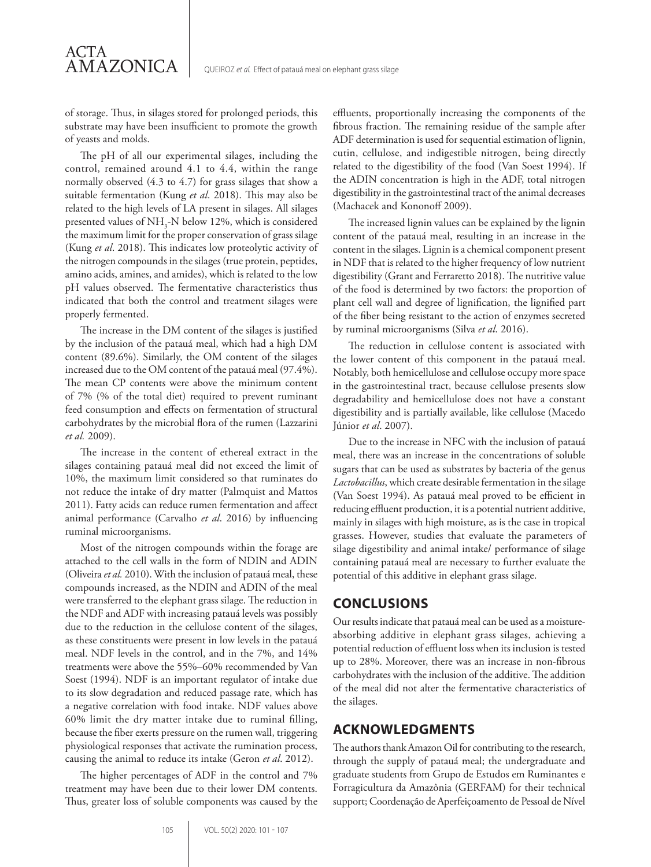of storage. Thus, in silages stored for prolonged periods, this substrate may have been insufficient to promote the growth of yeasts and molds.

ACTA

AMAZONICA

The pH of all our experimental silages, including the control, remained around 4.1 to 4.4, within the range normally observed (4.3 to 4.7) for grass silages that show a suitable fermentation (Kung *et al*. 2018). This may also be related to the high levels of LA present in silages. All silages presented values of  $\mathrm{NH}_3\text{-}\mathrm{N}$  below 12%, which is considered the maximum limit for the proper conservation of grass silage (Kung *et al*. 2018). This indicates low proteolytic activity of the nitrogen compounds in the silages (true protein, peptides, amino acids, amines, and amides), which is related to the low pH values observed. The fermentative characteristics thus indicated that both the control and treatment silages were properly fermented.

The increase in the DM content of the silages is justified by the inclusion of the patauá meal, which had a high DM content (89.6%). Similarly, the OM content of the silages increased due to the OM content of the patauá meal (97.4%). The mean CP contents were above the minimum content of 7% (% of the total diet) required to prevent ruminant feed consumption and effects on fermentation of structural carbohydrates by the microbial flora of the rumen (Lazzarini *et al.* 2009).

The increase in the content of ethereal extract in the silages containing patauá meal did not exceed the limit of 10%, the maximum limit considered so that ruminates do not reduce the intake of dry matter (Palmquist and Mattos 2011). Fatty acids can reduce rumen fermentation and affect animal performance (Carvalho *et al*. 2016) by influencing ruminal microorganisms.

Most of the nitrogen compounds within the forage are attached to the cell walls in the form of NDIN and ADIN (Oliveira *et al.* 2010). With the inclusion of patauá meal, these compounds increased, as the NDIN and ADIN of the meal were transferred to the elephant grass silage. The reduction in the NDF and ADF with increasing patauá levels was possibly due to the reduction in the cellulose content of the silages, as these constituents were present in low levels in the patauá meal. NDF levels in the control, and in the 7%, and 14% treatments were above the 55%–60% recommended by Van Soest (1994). NDF is an important regulator of intake due to its slow degradation and reduced passage rate, which has a negative correlation with food intake. NDF values above 60% limit the dry matter intake due to ruminal filling, because the fiber exerts pressure on the rumen wall, triggering physiological responses that activate the rumination process, causing the animal to reduce its intake (Geron *et al*. 2012).

The higher percentages of ADF in the control and 7% treatment may have been due to their lower DM contents. Thus, greater loss of soluble components was caused by the

effluents, proportionally increasing the components of the fibrous fraction. The remaining residue of the sample after ADF determination is used for sequential estimation of lignin, cutin, cellulose, and indigestible nitrogen, being directly related to the digestibility of the food (Van Soest 1994). If the ADIN concentration is high in the ADF, total nitrogen digestibility in the gastrointestinal tract of the animal decreases (Machacek and Kononoff 2009).

The increased lignin values can be explained by the lignin content of the patauá meal, resulting in an increase in the content in the silages. Lignin is a chemical component present in NDF that is related to the higher frequency of low nutrient digestibility (Grant and Ferraretto 2018). The nutritive value of the food is determined by two factors: the proportion of plant cell wall and degree of lignification, the lignified part of the fiber being resistant to the action of enzymes secreted by ruminal microorganisms (Silva *et al*. 2016).

The reduction in cellulose content is associated with the lower content of this component in the patauá meal. Notably, both hemicellulose and cellulose occupy more space in the gastrointestinal tract, because cellulose presents slow degradability and hemicellulose does not have a constant digestibility and is partially available, like cellulose (Macedo Júnior *et al*. 2007).

Due to the increase in NFC with the inclusion of patauá meal, there was an increase in the concentrations of soluble sugars that can be used as substrates by bacteria of the genus *Lactobacillus*, which create desirable fermentation in the silage (Van Soest 1994). As patauá meal proved to be efficient in reducing effluent production, it is a potential nutrient additive, mainly in silages with high moisture, as is the case in tropical grasses. However, studies that evaluate the parameters of silage digestibility and animal intake/ performance of silage containing patauá meal are necessary to further evaluate the potential of this additive in elephant grass silage.

### **CONCLUSIONS**

Our results indicate that patauá meal can be used as a moistureabsorbing additive in elephant grass silages, achieving a potential reduction of effluent loss when its inclusion is tested up to 28%. Moreover, there was an increase in non-fibrous carbohydrates with the inclusion of the additive. The addition of the meal did not alter the fermentative characteristics of the silages.

## **ACKNOWLEDGMENTS**

The authors thank Amazon Oil for contributing to the research, through the supply of patauá meal; the undergraduate and graduate students from Grupo de Estudos em Ruminantes e Forragicultura da Amazônia (GERFAM) for their technical support; Coordenação de Aperfeiçoamento de Pessoal de Nível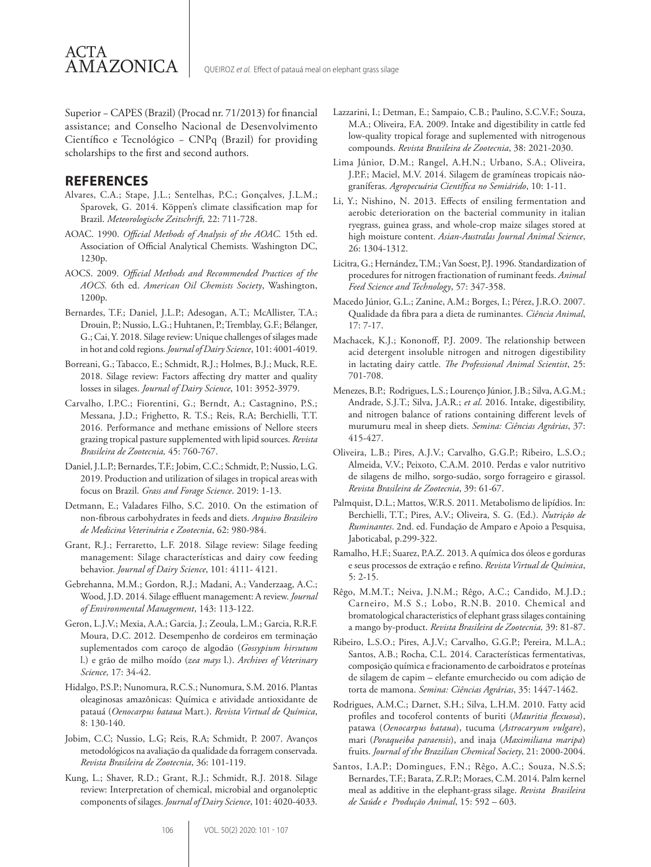

Superior − CAPES (Brazil) (Procad nr. 71/2013) for financial assistance; and Conselho Nacional de Desenvolvimento Científico e Tecnológico − CNPq (Brazil) for providing scholarships to the first and second authors.

#### **REFERENCES**

- Alvares, C.A.; Stape, J.L.; Sentelhas, P.C.; Gonçalves, J.L.M.; Sparovek, G. 2014. Köppen's climate classification map for Brazil. *Meteorologische Zeitschrift,* 22: 711-728.
- AOAC. 1990. *Official Methods of Analysis of the AOAC.* 15th ed. Association of Official Analytical Chemists. Washington DC, 1230p.
- AOCS. 2009. *Official Methods and Recommended Practices of the AOCS.* 6th ed. *American Oil Chemists Society*, Washington, 1200p.
- Bernardes, T.F.; Daniel, J.L.P.; Adesogan, A.T.; McAllister, T.A.; Drouin, P.; Nussio, L.G.; Huhtanen, P.; Tremblay, G.F.; Bélanger, G.; Cai, Y. 2018. Silage review: Unique challenges of silages made in hot and cold regions. *Journal of Dairy Science*, 101: 4001-4019.
- Borreani, G.; Tabacco, E.; Schmidt, R.J.; Holmes, B.J.; Muck, R.E. 2018. Silage review: Factors affecting dry matter and quality losses in silages. *Journal of Dairy Science*, 101: 3952-3979.
- Carvalho, I.P.C.; Fiorentini, G.; Berndt, A.; Castagnino, P.S.; Messana, J.D.; Frighetto, R. T.S.; Reis, R.A; Berchielli, T.T. 2016. Performance and methane emissions of Nellore steers grazing tropical pasture supplemented with lipid sources. *Revista Brasileira de Zootecnia,* 45: 760-767.
- Daniel, J.L.P.; Bernardes, T.F.; Jobim, C.C.; Schmidt, P.; Nussio, L.G. 2019. Production and utilization of silages in tropical areas with focus on Brazil. *Grass and Forage Science*. 2019: 1-13.
- Detmann, E.; Valadares Filho, S.C. 2010. On the estimation of non-fibrous carbohydrates in feeds and diets. *Arquivo Brasileiro de Medicina Veterinária e Zootecnia*, 62: 980-984.
- Grant, R.J.; Ferraretto, L.F. 2018. Silage review: Silage feeding management: Silage characterísticas and dairy cow feeding behavior. *Journal of Dairy Science*, 101: 4111- 4121.
- Gebrehanna, M.M.; Gordon, R.J.; Madani, A.; Vanderzaag, A.C.; Wood, J.D. 2014. Silage effluent management: A review. *Journal of Environmental Management*, 143: 113-122.
- Geron, L.J.V.; Mexia, A.A.; Garcia, J.; Zeoula, L.M.; Garcia, R.R.F. Moura, D.C. 2012. Desempenho de cordeiros em terminação suplementados com caroço de algodão (*Gossypium hirsutum* l.) e grão de milho moído (*zea mays* l.). *Archives of Veterinary Science,* 17: 34-42.
- Hidalgo, P.S.P.; Nunomura, R.C.S.; Nunomura, S.M. 2016. Plantas oleaginosas amazônicas: Química e atividade antioxidante de patauá (*Oenocarpus bataua* Mart.). *Revista Virtual de Química*, 8: 130-140.
- Jobim, C.C; Nussio, L.G; Reis, R.A; Schmidt, P. 2007. Avanços metodológicos na avaliação da qualidade da forragem conservada. *Revista Brasileira de Zootecnia*, 36: 101-119.
- Kung, L.; Shaver, R.D.; Grant, R.J.; Schmidt, R.J. 2018. Silage review: Interpretation of chemical, microbial and organoleptic components of silages. *Journal of Dairy Science*, 101: 4020-4033.
- Lazzarini, I.; Detman, E.; Sampaio, C.B.; Paulino, S.C.V.F.; Souza, M.A.; Oliveira, F.A. 2009. Intake and digestibility in cattle fed low-quality tropical forage and suplemented with nitrogenous compounds. *Revista Brasileira de Zootecnia*, 38: 2021-2030.
- Lima Júnior, D.M.; Rangel, A.H.N.; Urbano, S.A.; Oliveira, J.P.F.; Maciel, M.V. 2014. Silagem de gramíneas tropicais nãograníferas. *Agropecuária Científica no Semiárido*, 10: 1-11.
- Li, Y.; Nishino, N. 2013. Effects of ensiling fermentation and aerobic deterioration on the bacterial community in italian ryegrass, guinea grass, and whole-crop maize silages stored at high moisture content. *Asian-Australas Journal Animal Science*, 26: 1304-1312.
- Licitra, G.; Hernández, T.M.; Van Soest, P.J. 1996. Standardization of procedures for nitrogen fractionation of ruminant feeds. *Animal Feed Science and Technology*, 57: 347-358.
- Macedo Júnior, G.L.; Zanine, A.M.; Borges, I.; Pérez, J.R.O. 2007. Qualidade da fibra para a dieta de ruminantes. *Ciência Animal*, 17: 7-17.
- Machacek, K.J.; Kononoff, P.J. 2009. The relationship between acid detergent insoluble nitrogen and nitrogen digestibility in lactating dairy cattle. *The Professional Animal Scientist*, 25: 701-708.
- Menezes, B.P.; Rodrigues, L.S.; Lourenço Júnior, J.B.; Silva, A.G.M.; Andrade, S.J.T.; Silva, J.A.R.; *et al*. 2016. Intake, digestibility, and nitrogen balance of rations containing different levels of murumuru meal in sheep diets. *Semina: Ciências Agrárias*, 37: 415-427.
- Oliveira, L.B.; Pires, A.J.V.; Carvalho, G.G.P.; Ribeiro, L.S.O.; Almeida, V.V.; Peixoto, C.A.M. 2010. Perdas e valor nutritivo de silagens de milho, sorgo-sudão, sorgo forrageiro e girassol. *Revista Brasileira de Zootecnia*, 39: 61-67.
- Palmquist, D.L.; Mattos, W.R.S. 2011. Metabolismo de lipídios. In: Berchielli, T.T.; Pires, A.V.; Oliveira, S. G. (Ed.). *Nutrição de Ruminantes*. 2nd. ed. Fundação de Amparo e Apoio a Pesquisa, Jaboticabal, p.299-322.
- Ramalho, H.F.; Suarez, P.A.Z. 2013. A química dos óleos e gorduras e seus processos de extração e refino. *Revista Virtual de Química*, 5: 2-15.
- Rêgo, M.M.T.; Neiva, J.N.M.; Rêgo, A.C.; Candido, M.J.D.; Carneiro, M.S S.; Lobo, R.N.B. 2010. Chemical and bromatological characteristics of elephant grass silages containing a mango by-product. *Revista Brasileira de Zootecnia,* 39: 81-87.
- Ribeiro, L.S.O.; Pires, A.J.V.; Carvalho, G.G.P.; Pereira, M.L.A.; Santos, A.B.; Rocha, C.L. 2014. Características fermentativas, composição química e fracionamento de carboidratos e proteínas de silagem de capim – elefante emurchecido ou com adição de torta de mamona. *Semina: Ciências Agrárias*, 35: 1447-1462.
- Rodrigues, A.M.C.; Darnet, S.H.; Silva, L.H.M. 2010. Fatty acid profiles and tocoferol contents of buriti (*Mauritia flexuosa*), patawa (*Oenocarpus bataua*), tucuma (*Astrocaryum vulgare*), mari (*Poraqueiba paraensis*), and inaja (*Maximiliana maripa*) fruits. *Journal of the Brazilian Chemical Society*, 21: 2000-2004.
- Santos, I.A.P.; Domingues, F.N.; Rêgo, A.C.; Souza, N.S.S; Bernardes, T.F.; Barata, Z.R.P.; Moraes, C.M. 2014. Palm kernel meal as additive in the elephant-grass silage. *Revista Brasileira de Saúde e Produção Animal*, 15: 592 – 603.